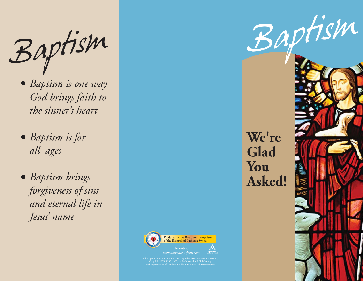Baptism Baptism

- *Baptism is one way God brings faith to the sinner's heart*
- *Baptism is for all ages*
- *Baptism brings forgiveness of sins and eternal life in Jesus' name*

**We're Glad You Asked!**